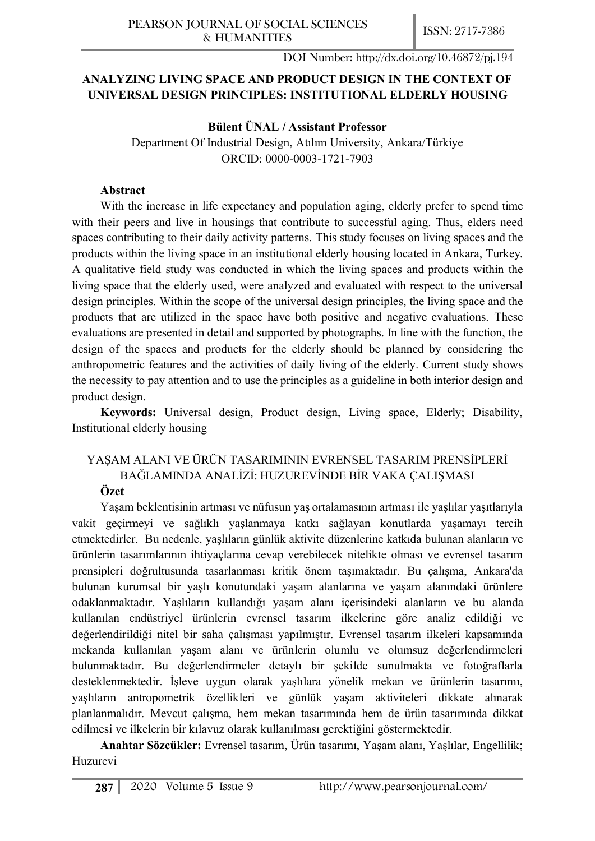# **ANALYZING LIVING SPACE AND PRODUCT DESIGN IN THE CONTEXT OF UNIVERSAL DESIGN PRINCIPLES: INSTITUTIONAL ELDERLY HOUSING**

## **Bülent ÜNAL / Assistant Professor**

Department Of Industrial Design, Atılım University, Ankara/Türkiye ORCID: 0000-0003-1721-7903

## **Abstract**

With the increase in life expectancy and population aging, elderly prefer to spend time with their peers and live in housings that contribute to successful aging. Thus, elders need spaces contributing to their daily activity patterns. This study focuses on living spaces and the products within the living space in an institutional elderly housing located in Ankara, Turkey. A qualitative field study was conducted in which the living spaces and products within the living space that the elderly used, were analyzed and evaluated with respect to the universal design principles. Within the scope of the universal design principles, the living space and the products that are utilized in the space have both positive and negative evaluations. These evaluations are presented in detail and supported by photographs. In line with the function, the design of the spaces and products for the elderly should be planned by considering the anthropometric features and the activities of daily living of the elderly. Current study shows the necessity to pay attention and to use the principles as a guideline in both interior design and product design.

**Keywords:** Universal design, Product design, Living space, Elderly; Disability, Institutional elderly housing

# YAŞAM ALANI VE ÜRÜN TASARIMININ EVRENSEL TASARIM PRENSİPLERİ BAĞLAMINDA ANALİZİ: HUZUREVİNDE BİR VAKA ÇALIŞMASI **Özet**

Yaşam beklentisinin artması ve nüfusun yaş ortalamasının artması ile yaşlılar yaşıtlarıyla vakit geçirmeyi ve sağlıklı yaşlanmaya katkı sağlayan konutlarda yaşamayı tercih etmektedirler. Bu nedenle, yaşlıların günlük aktivite düzenlerine katkıda bulunan alanların ve ürünlerin tasarımlarının ihtiyaçlarına cevap verebilecek nitelikte olması ve evrensel tasarım prensipleri doğrultusunda tasarlanması kritik önem taşımaktadır. Bu çalışma, Ankara'da bulunan kurumsal bir yaşlı konutundaki yaşam alanlarına ve yaşam alanındaki ürünlere odaklanmaktadır. Yaşlıların kullandığı yaşam alanı içerisindeki alanların ve bu alanda kullanılan endüstriyel ürünlerin evrensel tasarım ilkelerine göre analiz edildiği ve değerlendirildiği nitel bir saha çalışması yapılmıştır. Evrensel tasarım ilkeleri kapsamında mekanda kullanılan yaşam alanı ve ürünlerin olumlu ve olumsuz değerlendirmeleri bulunmaktadır. Bu değerlendirmeler detaylı bir şekilde sunulmakta ve fotoğraflarla desteklenmektedir. İşleve uygun olarak yaşlılara yönelik mekan ve ürünlerin tasarımı, yaşlıların antropometrik özellikleri ve günlük yaşam aktiviteleri dikkate alınarak planlanmalıdır. Mevcut çalışma, hem mekan tasarımında hem de ürün tasarımında dikkat edilmesi ve ilkelerin bir kılavuz olarak kullanılması gerektiğini göstermektedir.

**Anahtar Sözcükler:** Evrensel tasarım, Ürün tasarımı, Yaşam alanı, Yaşlılar, Engellilik; Huzurevi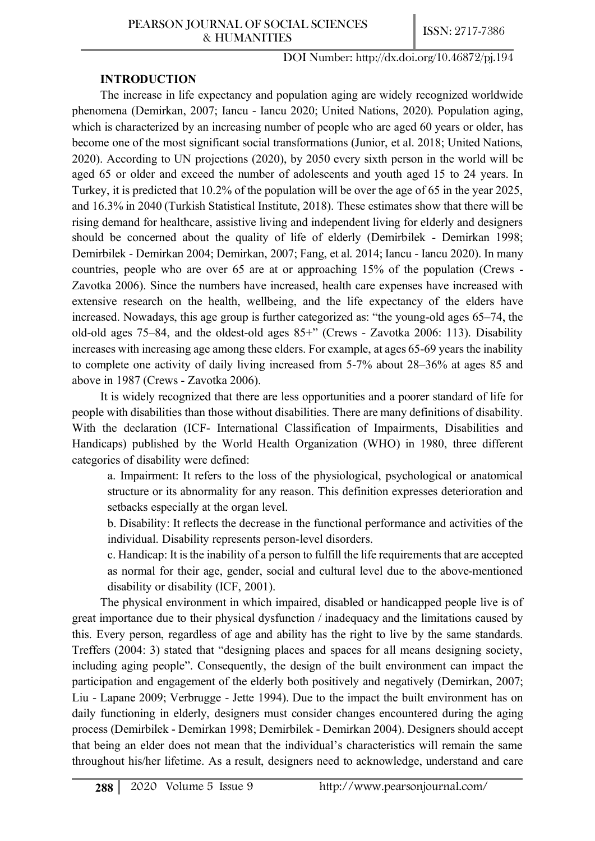## **INTRODUCTION**

The increase in life expectancy and population aging are widely recognized worldwide phenomena (Demirkan, 2007; Iancu - Iancu 2020; United Nations, 2020). Population aging, which is characterized by an increasing number of people who are aged 60 years or older, has become one of the most significant social transformations (Junior, et al. 2018; United Nations, 2020). According to UN projections (2020), by 2050 every sixth person in the world will be aged 65 or older and exceed the number of adolescents and youth aged 15 to 24 years. In Turkey, it is predicted that 10.2% of the population will be over the age of 65 in the year 2025, and 16.3% in 2040 (Turkish Statistical Institute, 2018). These estimates show that there will be rising demand for healthcare, assistive living and independent living for elderly and designers should be concerned about the quality of life of elderly (Demirbilek - Demirkan 1998; Demirbilek - Demirkan 2004; Demirkan, 2007; Fang, et al. 2014; Iancu - Iancu 2020). In many countries, people who are over 65 are at or approaching 15% of the population (Crews - Zavotka 2006). Since the numbers have increased, health care expenses have increased with extensive research on the health, wellbeing, and the life expectancy of the elders have increased. Nowadays, this age group is further categorized as: "the young-old ages 65–74, the old-old ages 75–84, and the oldest-old ages 85+" (Crews - Zavotka 2006: 113). Disability increases with increasing age among these elders. For example, at ages 65-69 years the inability to complete one activity of daily living increased from 5-7% about 28–36% at ages 85 and above in 1987 (Crews - Zavotka 2006).

It is widely recognized that there are less opportunities and a poorer standard of life for people with disabilities than those without disabilities. There are many definitions of disability. With the declaration (ICF- International Classification of Impairments, Disabilities and Handicaps) published by the World Health Organization (WHO) in 1980, three different categories of disability were defined:

a. Impairment: It refers to the loss of the physiological, psychological or anatomical structure or its abnormality for any reason. This definition expresses deterioration and setbacks especially at the organ level.

b. Disability: It reflects the decrease in the functional performance and activities of the individual. Disability represents person-level disorders.

c. Handicap: It is the inability of a person to fulfill the life requirements that are accepted as normal for their age, gender, social and cultural level due to the above-mentioned disability or disability (ICF, 2001).

The physical environment in which impaired, disabled or handicapped people live is of great importance due to their physical dysfunction / inadequacy and the limitations caused by this. Every person, regardless of age and ability has the right to live by the same standards. Treffers (2004: 3) stated that "designing places and spaces for all means designing society, including aging people". Consequently, the design of the built environment can impact the participation and engagement of the elderly both positively and negatively (Demirkan, 2007; Liu - Lapane 2009; Verbrugge - Jette 1994). Due to the impact the built environment has on daily functioning in elderly, designers must consider changes encountered during the aging process (Demirbilek - Demirkan 1998; Demirbilek - Demirkan 2004). Designers should accept that being an elder does not mean that the individual's characteristics will remain the same throughout his/her lifetime. As a result, designers need to acknowledge, understand and care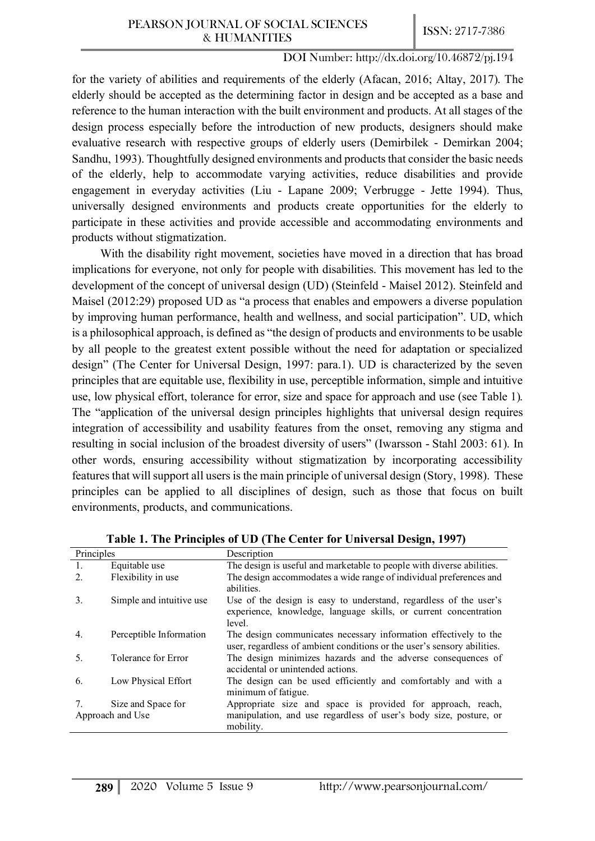for the variety of abilities and requirements of the elderly (Afacan, 2016; Altay, 2017). The elderly should be accepted as the determining factor in design and be accepted as a base and reference to the human interaction with the built environment and products. At all stages of the design process especially before the introduction of new products, designers should make evaluative research with respective groups of elderly users (Demirbilek - Demirkan 2004; Sandhu, 1993). Thoughtfully designed environments and products that consider the basic needs of the elderly, help to accommodate varying activities, reduce disabilities and provide engagement in everyday activities (Liu - Lapane 2009; Verbrugge - Jette 1994). Thus, universally designed environments and products create opportunities for the elderly to participate in these activities and provide accessible and accommodating environments and products without stigmatization.

With the disability right movement, societies have moved in a direction that has broad implications for everyone, not only for people with disabilities. This movement has led to the development of the concept of universal design (UD) (Steinfeld - Maisel 2012). Steinfeld and Maisel (2012:29) proposed UD as "a process that enables and empowers a diverse population by improving human performance, health and wellness, and social participation". UD, which is a philosophical approach, is defined as "the design of products and environments to be usable by all people to the greatest extent possible without the need for adaptation or specialized design" (The Center for Universal Design, 1997: para.1). UD is characterized by the seven principles that are equitable use, flexibility in use, perceptible information, simple and intuitive use, low physical effort, tolerance for error, size and space for approach and use (see Table 1). The "application of the universal design principles highlights that universal design requires integration of accessibility and usability features from the onset, removing any stigma and resulting in social inclusion of the broadest diversity of users" (Iwarsson - Stahl 2003: 61). In other words, ensuring accessibility without stigmatization by incorporating accessibility features that will support all users is the main principle of universal design (Story, 1998). These principles can be applied to all disciplines of design, such as those that focus on built environments, products, and communications.

| Principles       |                          | Description                                                                                                                                     |  |
|------------------|--------------------------|-------------------------------------------------------------------------------------------------------------------------------------------------|--|
| 1.               | Equitable use            | The design is useful and marketable to people with diverse abilities.                                                                           |  |
| 2.               | Flexibility in use       | The design accommodates a wide range of individual preferences and<br>abilities.                                                                |  |
| 3.               | Simple and intuitive use | Use of the design is easy to understand, regardless of the user's<br>experience, knowledge, language skills, or current concentration<br>level. |  |
| 4.               | Perceptible Information  | The design communicates necessary information effectively to the<br>user, regardless of ambient conditions or the user's sensory abilities.     |  |
| 5.               | Tolerance for Error      | The design minimizes hazards and the adverse consequences of<br>accidental or unintended actions.                                               |  |
| 6.               | Low Physical Effort      | The design can be used efficiently and comfortably and with a<br>minimum of fatigue.                                                            |  |
|                  | Size and Space for       | Appropriate size and space is provided for approach, reach,                                                                                     |  |
| Approach and Use |                          | manipulation, and use regardless of user's body size, posture, or<br>mobility.                                                                  |  |

**Table 1. The Principles of UD (The Center for Universal Design, 1997)**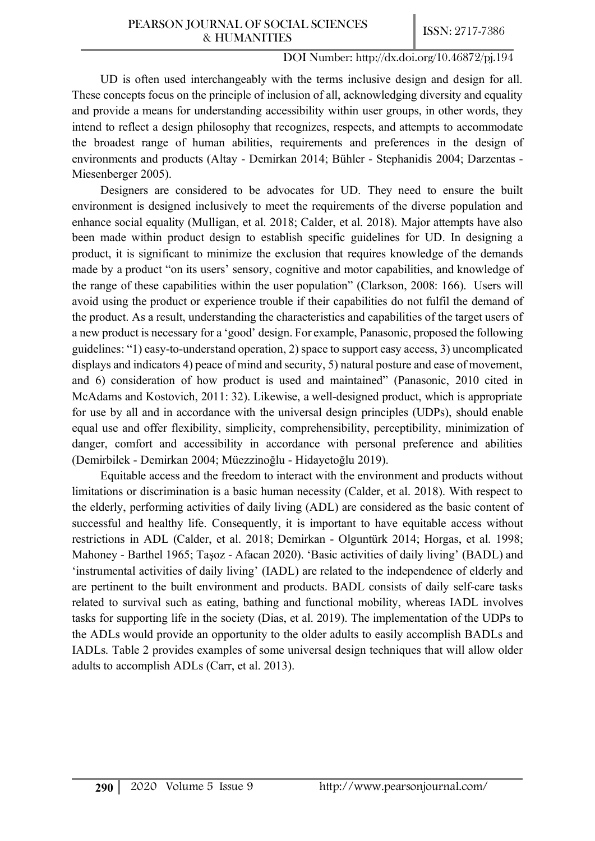UD is often used interchangeably with the terms inclusive design and design for all. These concepts focus on the principle of inclusion of all, acknowledging diversity and equality and provide a means for understanding accessibility within user groups, in other words, they intend to reflect a design philosophy that recognizes, respects, and attempts to accommodate the broadest range of human abilities, requirements and preferences in the design of environments and products (Altay - Demirkan 2014; Bühler - Stephanidis 2004; Darzentas - Miesenberger 2005).

Designers are considered to be advocates for UD. They need to ensure the built environment is designed inclusively to meet the requirements of the diverse population and enhance social equality (Mulligan, et al. 2018; Calder, et al. 2018). Major attempts have also been made within product design to establish specific guidelines for UD. In designing a product, it is significant to minimize the exclusion that requires knowledge of the demands made by a product "on its users' sensory, cognitive and motor capabilities, and knowledge of the range of these capabilities within the user population" (Clarkson, 2008: 166). Users will avoid using the product or experience trouble if their capabilities do not fulfil the demand of the product. As a result, understanding the characteristics and capabilities of the target users of a new product is necessary for a 'good' design. For example, Panasonic, proposed the following guidelines: "1) easy-to-understand operation, 2) space to support easy access, 3) uncomplicated displays and indicators 4) peace of mind and security, 5) natural posture and ease of movement, and 6) consideration of how product is used and maintained" (Panasonic, 2010 cited in McAdams and Kostovich, 2011: 32). Likewise, a well-designed product, which is appropriate for use by all and in accordance with the universal design principles (UDPs), should enable equal use and offer flexibility, simplicity, comprehensibility, perceptibility, minimization of danger, comfort and accessibility in accordance with personal preference and abilities (Demirbilek - Demirkan 2004; Müezzinoğlu - Hidayetoğlu 2019).

Equitable access and the freedom to interact with the environment and products without limitations or discrimination is a basic human necessity (Calder, et al. 2018). With respect to the elderly, performing activities of daily living (ADL) are considered as the basic content of successful and healthy life. Consequently, it is important to have equitable access without restrictions in ADL (Calder, et al. 2018; Demirkan - Olguntürk 2014; Horgas, et al. 1998; Mahoney - Barthel 1965; Taşoz - Afacan 2020). 'Basic activities of daily living' (BADL) and 'instrumental activities of daily living' (IADL) are related to the independence of elderly and are pertinent to the built environment and products. BADL consists of daily self-care tasks related to survival such as eating, bathing and functional mobility, whereas IADL involves tasks for supporting life in the society (Dias, et al. 2019). The implementation of the UDPs to the ADLs would provide an opportunity to the older adults to easily accomplish BADLs and IADLs. Table 2 provides examples of some universal design techniques that will allow older adults to accomplish ADLs (Carr, et al. 2013).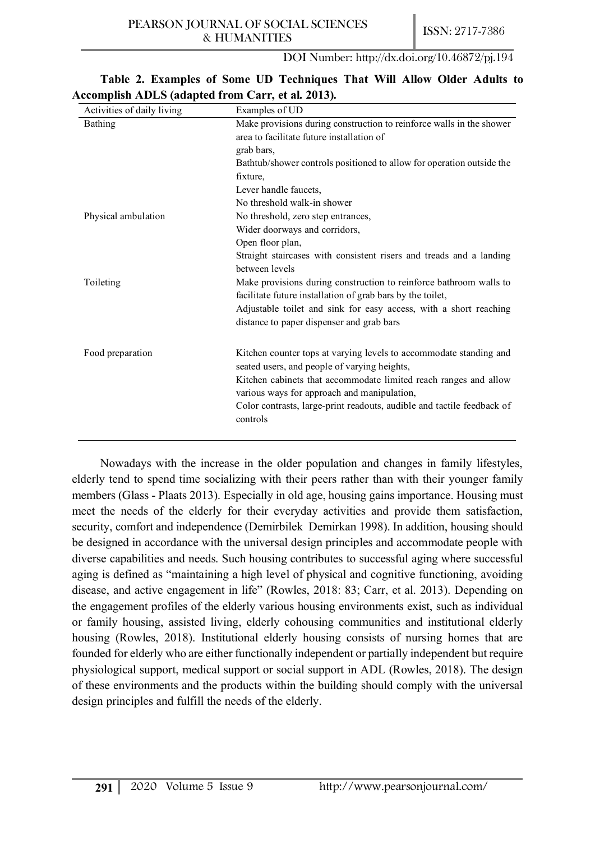| Activities of daily living | Examples of UD                                                         |  |  |
|----------------------------|------------------------------------------------------------------------|--|--|
| <b>Bathing</b>             | Make provisions during construction to reinforce walls in the shower   |  |  |
|                            | area to facilitate future installation of                              |  |  |
|                            | grab bars,                                                             |  |  |
|                            | Bathtub/shower controls positioned to allow for operation outside the  |  |  |
|                            | fixture,                                                               |  |  |
|                            | Lever handle faucets,                                                  |  |  |
|                            | No threshold walk-in shower                                            |  |  |
| Physical ambulation        | No threshold, zero step entrances,                                     |  |  |
|                            | Wider doorways and corridors,                                          |  |  |
|                            | Open floor plan,                                                       |  |  |
|                            | Straight staircases with consistent risers and treads and a landing    |  |  |
|                            | between levels                                                         |  |  |
| Toileting                  | Make provisions during construction to reinforce bathroom walls to     |  |  |
|                            | facilitate future installation of grab bars by the toilet,             |  |  |
|                            | Adjustable toilet and sink for easy access, with a short reaching      |  |  |
|                            | distance to paper dispenser and grab bars                              |  |  |
| Food preparation           | Kitchen counter tops at varying levels to accommodate standing and     |  |  |
|                            | seated users, and people of varying heights,                           |  |  |
|                            | Kitchen cabinets that accommodate limited reach ranges and allow       |  |  |
|                            | various ways for approach and manipulation,                            |  |  |
|                            | Color contrasts, large-print readouts, audible and tactile feedback of |  |  |
|                            | controls                                                               |  |  |

## **Table 2. Examples of Some UD Techniques That Will Allow Older Adults to Accomplish ADLS (adapted from Carr, et al. 2013).**

Nowadays with the increase in the older population and changes in family lifestyles, elderly tend to spend time socializing with their peers rather than with their younger family members (Glass - Plaats 2013). Especially in old age, housing gains importance. Housing must meet the needs of the elderly for their everyday activities and provide them satisfaction, security, comfort and independence (Demirbilek Demirkan 1998). In addition, housing should be designed in accordance with the universal design principles and accommodate people with diverse capabilities and needs. Such housing contributes to successful aging where successful aging is defined as "maintaining a high level of physical and cognitive functioning, avoiding disease, and active engagement in life" (Rowles, 2018: 83; Carr, et al. 2013). Depending on the engagement profiles of the elderly various housing environments exist, such as individual or family housing, assisted living, elderly cohousing communities and institutional elderly housing (Rowles, 2018). Institutional elderly housing consists of nursing homes that are founded for elderly who are either functionally independent or partially independent but require physiological support, medical support or social support in ADL (Rowles, 2018). The design of these environments and the products within the building should comply with the universal design principles and fulfill the needs of the elderly.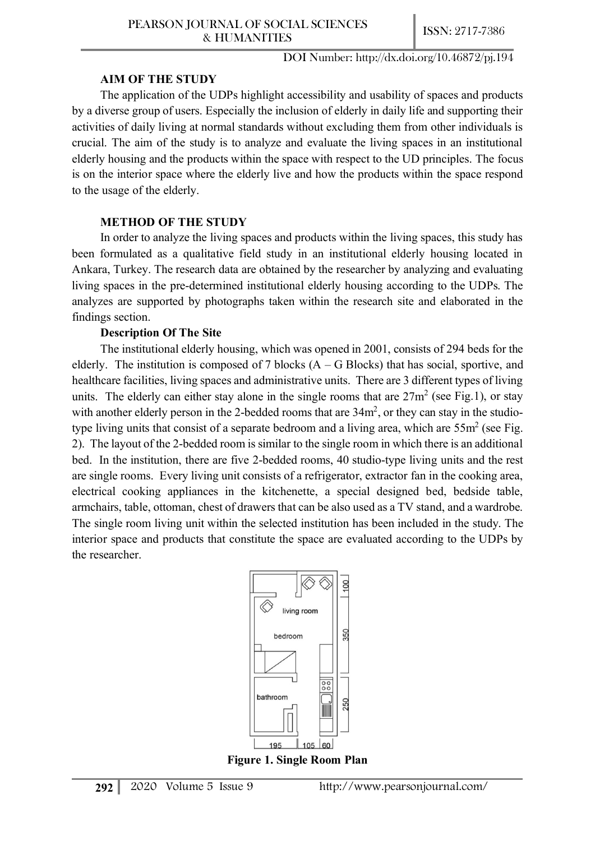## **AIM OF THE STUDY**

The application of the UDPs highlight accessibility and usability of spaces and products by a diverse group of users. Especially the inclusion of elderly in daily life and supporting their activities of daily living at normal standards without excluding them from other individuals is crucial. The aim of the study is to analyze and evaluate the living spaces in an institutional elderly housing and the products within the space with respect to the UD principles. The focus is on the interior space where the elderly live and how the products within the space respond to the usage of the elderly.

# **METHOD OF THE STUDY**

In order to analyze the living spaces and products within the living spaces, this study has been formulated as a qualitative field study in an institutional elderly housing located in Ankara, Turkey. The research data are obtained by the researcher by analyzing and evaluating living spaces in the pre-determined institutional elderly housing according to the UDPs. The analyzes are supported by photographs taken within the research site and elaborated in the findings section.

## **Description Of The Site**

The institutional elderly housing, which was opened in 2001, consists of 294 beds for the elderly. The institution is composed of 7 blocks  $(A - G$  Blocks) that has social, sportive, and healthcare facilities, living spaces and administrative units. There are 3 different types of living units. The elderly can either stay alone in the single rooms that are  $27m^2$  (see Fig.1), or stay with another elderly person in the 2-bedded rooms that are  $34m^2$ , or they can stay in the studiotype living units that consist of a separate bedroom and a living area, which are  $55m^2$  (see Fig. 2). The layout of the 2-bedded room is similar to the single room in which there is an additional bed. In the institution, there are five 2-bedded rooms, 40 studio-type living units and the rest are single rooms. Every living unit consists of a refrigerator, extractor fan in the cooking area, electrical cooking appliances in the kitchenette, a special designed bed, bedside table, armchairs, table, ottoman, chest of drawers that can be also used as a TV stand, and a wardrobe. The single room living unit within the selected institution has been included in the study. The interior space and products that constitute the space are evaluated according to the UDPs by the researcher.



**Figure 1. Single Room Plan**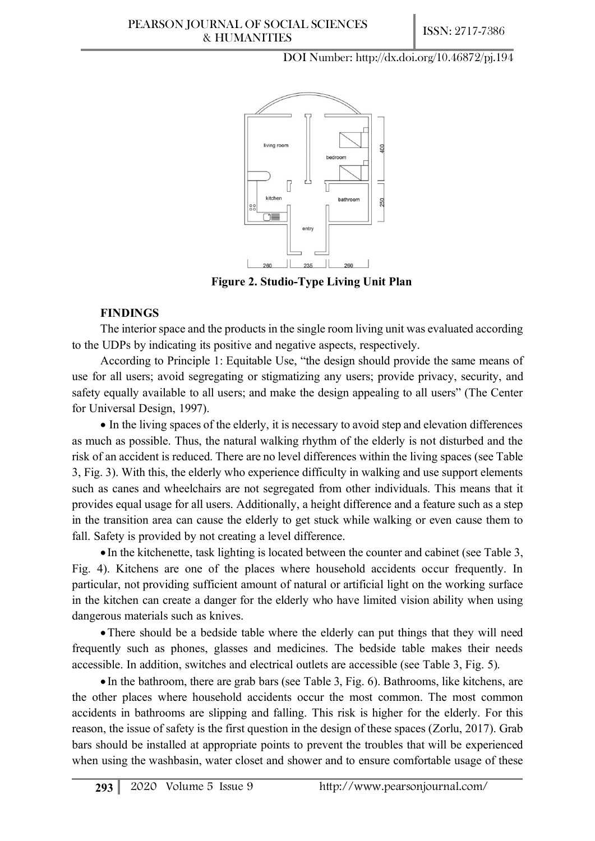#### PEARSON JOURNAL OF SOCIAL SCIENCES & HUMANITIES **ISSN:** 2717-7386

DOI Number: http://dx.doi.org/10.46872/pj.194



**Figure 2. Studio-Type Living Unit Plan**

### **FINDINGS**

The interior space and the products in the single room living unit was evaluated according to the UDPs by indicating its positive and negative aspects, respectively.

According to Principle 1: Equitable Use, "the design should provide the same means of use for all users; avoid segregating or stigmatizing any users; provide privacy, security, and safety equally available to all users; and make the design appealing to all users" (The Center for Universal Design, 1997).

• In the living spaces of the elderly, it is necessary to avoid step and elevation differences as much as possible. Thus, the natural walking rhythm of the elderly is not disturbed and the risk of an accident is reduced. There are no level differences within the living spaces (see Table 3, Fig. 3). With this, the elderly who experience difficulty in walking and use support elements such as canes and wheelchairs are not segregated from other individuals. This means that it provides equal usage for all users. Additionally, a height difference and a feature such as a step in the transition area can cause the elderly to get stuck while walking or even cause them to fall. Safety is provided by not creating a level difference.

• In the kitchenette, task lighting is located between the counter and cabinet (see Table 3, Fig. 4). Kitchens are one of the places where household accidents occur frequently. In particular, not providing sufficient amount of natural or artificial light on the working surface in the kitchen can create a danger for the elderly who have limited vision ability when using dangerous materials such as knives.

• There should be a bedside table where the elderly can put things that they will need frequently such as phones, glasses and medicines. The bedside table makes their needs accessible. In addition, switches and electrical outlets are accessible (see Table 3, Fig. 5).

• In the bathroom, there are grab bars (see Table 3, Fig. 6). Bathrooms, like kitchens, are the other places where household accidents occur the most common. The most common accidents in bathrooms are slipping and falling. This risk is higher for the elderly. For this reason, the issue of safety is the first question in the design of these spaces (Zorlu, 2017). Grab bars should be installed at appropriate points to prevent the troubles that will be experienced when using the washbasin, water closet and shower and to ensure comfortable usage of these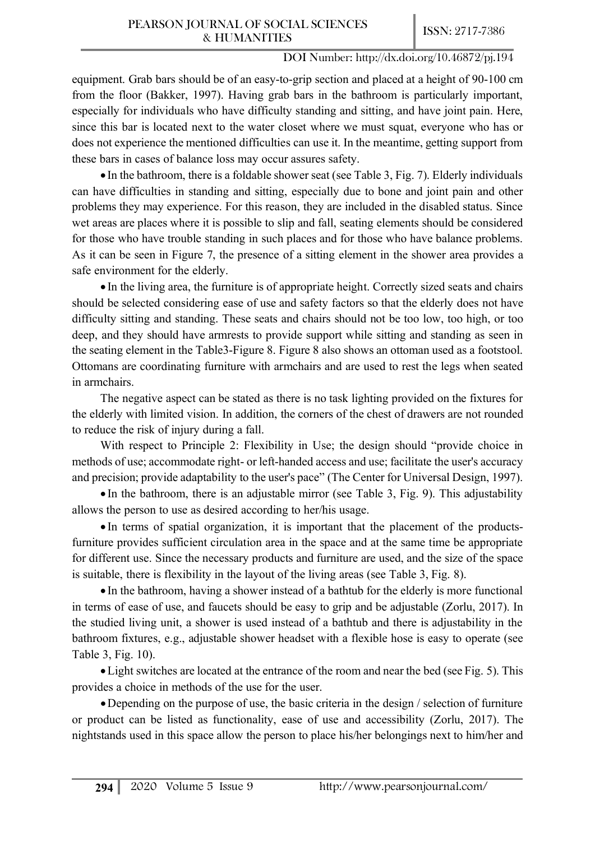equipment. Grab bars should be of an easy-to-grip section and placed at a height of 90-100 cm from the floor (Bakker, 1997). Having grab bars in the bathroom is particularly important, especially for individuals who have difficulty standing and sitting, and have joint pain. Here, since this bar is located next to the water closet where we must squat, everyone who has or does not experience the mentioned difficulties can use it. In the meantime, getting support from these bars in cases of balance loss may occur assures safety.

• In the bathroom, there is a foldable shower seat (see Table 3, Fig. 7). Elderly individuals can have difficulties in standing and sitting, especially due to bone and joint pain and other problems they may experience. For this reason, they are included in the disabled status. Since wet areas are places where it is possible to slip and fall, seating elements should be considered for those who have trouble standing in such places and for those who have balance problems. As it can be seen in Figure 7, the presence of a sitting element in the shower area provides a safe environment for the elderly.

• In the living area, the furniture is of appropriate height. Correctly sized seats and chairs should be selected considering ease of use and safety factors so that the elderly does not have difficulty sitting and standing. These seats and chairs should not be too low, too high, or too deep, and they should have armrests to provide support while sitting and standing as seen in the seating element in the Table3-Figure 8. Figure 8 also shows an ottoman used as a footstool. Ottomans are coordinating furniture with armchairs and are used to rest the legs when seated in armchairs.

The negative aspect can be stated as there is no task lighting provided on the fixtures for the elderly with limited vision. In addition, the corners of the chest of drawers are not rounded to reduce the risk of injury during a fall.

With respect to Principle 2: Flexibility in Use; the design should "provide choice in methods of use; accommodate right- or left-handed access and use; facilitate the user's accuracy and precision; provide adaptability to the user's pace" (The Center for Universal Design, 1997).

• In the bathroom, there is an adjustable mirror (see Table 3, Fig. 9). This adjustability allows the person to use as desired according to her/his usage.

• In terms of spatial organization, it is important that the placement of the productsfurniture provides sufficient circulation area in the space and at the same time be appropriate for different use. Since the necessary products and furniture are used, and the size of the space is suitable, there is flexibility in the layout of the living areas (see Table 3, Fig. 8).

• In the bathroom, having a shower instead of a bathtub for the elderly is more functional in terms of ease of use, and faucets should be easy to grip and be adjustable (Zorlu, 2017). In the studied living unit, a shower is used instead of a bathtub and there is adjustability in the bathroom fixtures, e.g., adjustable shower headset with a flexible hose is easy to operate (see Table 3, Fig. 10).

•Light switches are located at the entrance of the room and near the bed (see Fig. 5). This provides a choice in methods of the use for the user.

•Depending on the purpose of use, the basic criteria in the design / selection of furniture or product can be listed as functionality, ease of use and accessibility (Zorlu, 2017). The nightstands used in this space allow the person to place his/her belongings next to him/her and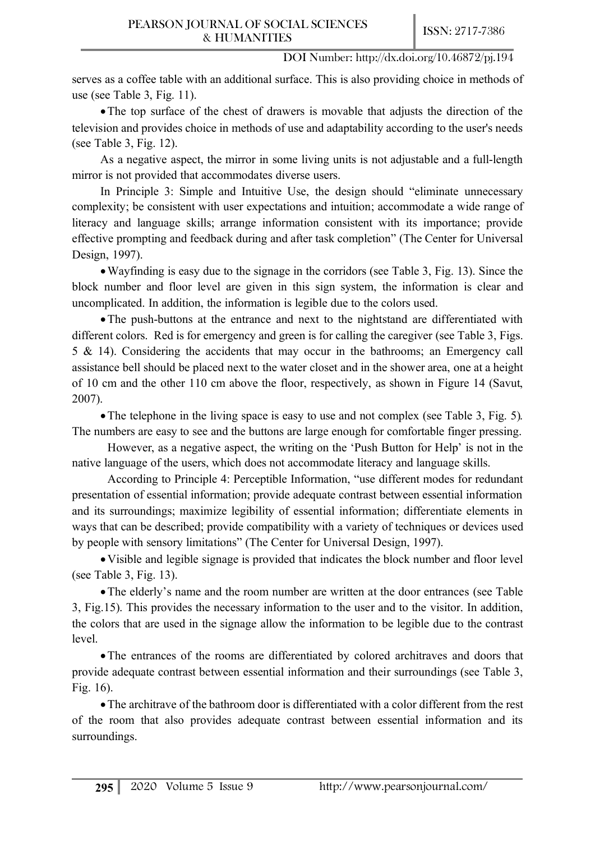serves as a coffee table with an additional surface. This is also providing choice in methods of use (see Table 3, Fig. 11).

•The top surface of the chest of drawers is movable that adjusts the direction of the television and provides choice in methods of use and adaptability according to the user's needs (see Table 3, Fig. 12).

As a negative aspect, the mirror in some living units is not adjustable and a full-length mirror is not provided that accommodates diverse users.

In Principle 3: Simple and Intuitive Use, the design should "eliminate unnecessary complexity; be consistent with user expectations and intuition; accommodate a wide range of literacy and language skills; arrange information consistent with its importance; provide effective prompting and feedback during and after task completion" (The Center for Universal Design, 1997).

•Wayfinding is easy due to the signage in the corridors (see Table 3, Fig. 13). Since the block number and floor level are given in this sign system, the information is clear and uncomplicated. In addition, the information is legible due to the colors used.

•The push-buttons at the entrance and next to the nightstand are differentiated with different colors. Red is for emergency and green is for calling the caregiver (see Table 3, Figs. 5 & 14). Considering the accidents that may occur in the bathrooms; an Emergency call assistance bell should be placed next to the water closet and in the shower area, one at a height of 10 cm and the other 110 cm above the floor, respectively, as shown in Figure 14 (Savut, 2007).

• The telephone in the living space is easy to use and not complex (see Table 3, Fig. 5). The numbers are easy to see and the buttons are large enough for comfortable finger pressing.

However, as a negative aspect, the writing on the 'Push Button for Help' is not in the native language of the users, which does not accommodate literacy and language skills.

According to Principle 4: Perceptible Information, "use different modes for redundant presentation of essential information; provide adequate contrast between essential information and its surroundings; maximize legibility of essential information; differentiate elements in ways that can be described; provide compatibility with a variety of techniques or devices used by people with sensory limitations" (The Center for Universal Design, 1997).

•Visible and legible signage is provided that indicates the block number and floor level (see Table 3, Fig. 13).

•The elderly's name and the room number are written at the door entrances (see Table 3, Fig.15). This provides the necessary information to the user and to the visitor. In addition, the colors that are used in the signage allow the information to be legible due to the contrast level.

•The entrances of the rooms are differentiated by colored architraves and doors that provide adequate contrast between essential information and their surroundings (see Table 3, Fig. 16).

•The architrave of the bathroom door is differentiated with a color different from the rest of the room that also provides adequate contrast between essential information and its surroundings.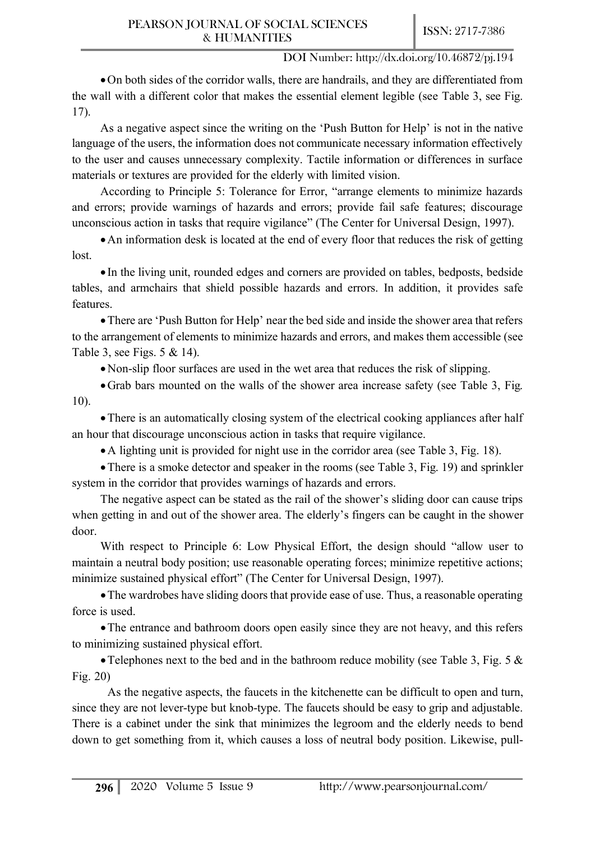•On both sides of the corridor walls, there are handrails, and they are differentiated from the wall with a different color that makes the essential element legible (see Table 3, see Fig. 17).

As a negative aspect since the writing on the 'Push Button for Help' is not in the native language of the users, the information does not communicate necessary information effectively to the user and causes unnecessary complexity. Tactile information or differences in surface materials or textures are provided for the elderly with limited vision.

According to Principle 5: Tolerance for Error, "arrange elements to minimize hazards and errors; provide warnings of hazards and errors; provide fail safe features; discourage unconscious action in tasks that require vigilance" (The Center for Universal Design, 1997).

•An information desk is located at the end of every floor that reduces the risk of getting lost.

• In the living unit, rounded edges and corners are provided on tables, bedposts, bedside tables, and armchairs that shield possible hazards and errors. In addition, it provides safe features.

•There are 'Push Button for Help' near the bed side and inside the shower area that refers to the arrangement of elements to minimize hazards and errors, and makes them accessible (see Table 3, see Figs. 5 & 14).

•Non-slip floor surfaces are used in the wet area that reduces the risk of slipping.

•Grab bars mounted on the walls of the shower area increase safety (see Table 3, Fig. 10).

•There is an automatically closing system of the electrical cooking appliances after half an hour that discourage unconscious action in tasks that require vigilance.

•A lighting unit is provided for night use in the corridor area (see Table 3, Fig. 18).

• There is a smoke detector and speaker in the rooms (see Table 3, Fig. 19) and sprinkler system in the corridor that provides warnings of hazards and errors.

The negative aspect can be stated as the rail of the shower's sliding door can cause trips when getting in and out of the shower area. The elderly's fingers can be caught in the shower door.

With respect to Principle 6: Low Physical Effort, the design should "allow user to maintain a neutral body position; use reasonable operating forces; minimize repetitive actions; minimize sustained physical effort" (The Center for Universal Design, 1997).

•The wardrobes have sliding doors that provide ease of use. Thus, a reasonable operating force is used.

•The entrance and bathroom doors open easily since they are not heavy, and this refers to minimizing sustained physical effort.

• Telephones next to the bed and in the bathroom reduce mobility (see Table 3, Fig. 5  $\&$ Fig. 20)

As the negative aspects, the faucets in the kitchenette can be difficult to open and turn, since they are not lever-type but knob-type. The faucets should be easy to grip and adjustable. There is a cabinet under the sink that minimizes the legroom and the elderly needs to bend down to get something from it, which causes a loss of neutral body position. Likewise, pull-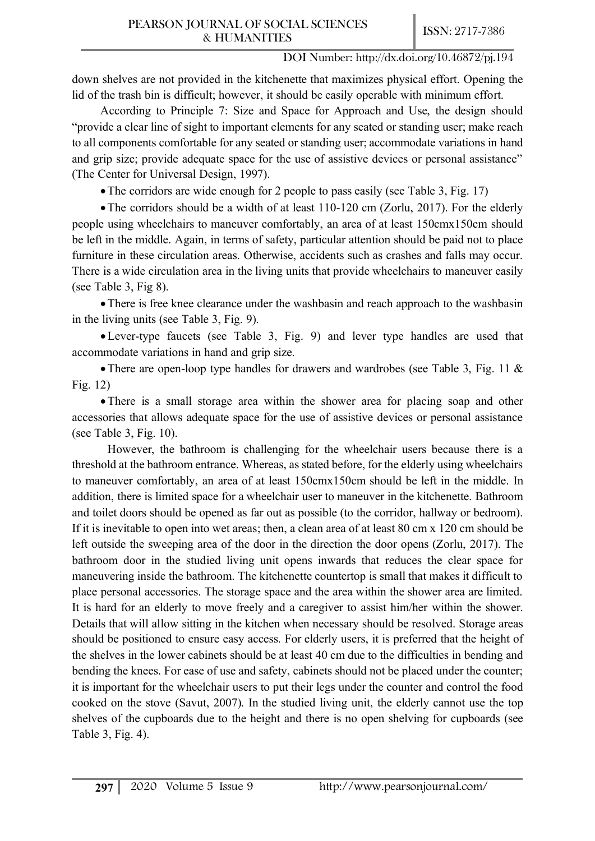down shelves are not provided in the kitchenette that maximizes physical effort. Opening the lid of the trash bin is difficult; however, it should be easily operable with minimum effort.

According to Principle 7: Size and Space for Approach and Use, the design should "provide a clear line of sight to important elements for any seated or standing user; make reach to all components comfortable for any seated or standing user; accommodate variations in hand and grip size; provide adequate space for the use of assistive devices or personal assistance" (The Center for Universal Design, 1997).

• The corridors are wide enough for 2 people to pass easily (see Table 3, Fig. 17)

• The corridors should be a width of at least 110-120 cm (Zorlu, 2017). For the elderly people using wheelchairs to maneuver comfortably, an area of at least 150cmx150cm should be left in the middle. Again, in terms of safety, particular attention should be paid not to place furniture in these circulation areas. Otherwise, accidents such as crashes and falls may occur. There is a wide circulation area in the living units that provide wheelchairs to maneuver easily (see Table 3, Fig 8).

• There is free knee clearance under the washbasin and reach approach to the washbasin in the living units (see Table 3, Fig. 9).

•Lever-type faucets (see Table 3, Fig. 9) and lever type handles are used that accommodate variations in hand and grip size.

•There are open-loop type handles for drawers and wardrobes (see Table 3, Fig. 11 & Fig. 12)

• There is a small storage area within the shower area for placing soap and other accessories that allows adequate space for the use of assistive devices or personal assistance (see Table 3, Fig. 10).

However, the bathroom is challenging for the wheelchair users because there is a threshold at the bathroom entrance. Whereas, as stated before, for the elderly using wheelchairs to maneuver comfortably, an area of at least 150cmx150cm should be left in the middle. In addition, there is limited space for a wheelchair user to maneuver in the kitchenette. Bathroom and toilet doors should be opened as far out as possible (to the corridor, hallway or bedroom). If it is inevitable to open into wet areas; then, a clean area of at least 80 cm x 120 cm should be left outside the sweeping area of the door in the direction the door opens (Zorlu, 2017). The bathroom door in the studied living unit opens inwards that reduces the clear space for maneuvering inside the bathroom. The kitchenette countertop is small that makes it difficult to place personal accessories. The storage space and the area within the shower area are limited. It is hard for an elderly to move freely and a caregiver to assist him/her within the shower. Details that will allow sitting in the kitchen when necessary should be resolved. Storage areas should be positioned to ensure easy access. For elderly users, it is preferred that the height of the shelves in the lower cabinets should be at least 40 cm due to the difficulties in bending and bending the knees. For ease of use and safety, cabinets should not be placed under the counter; it is important for the wheelchair users to put their legs under the counter and control the food cooked on the stove (Savut, 2007). In the studied living unit, the elderly cannot use the top shelves of the cupboards due to the height and there is no open shelving for cupboards (see Table 3, Fig. 4).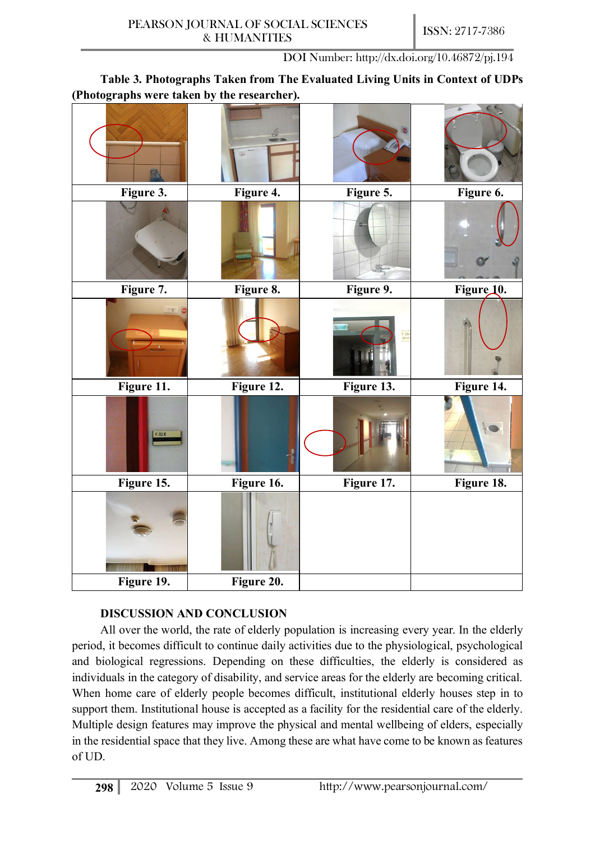**Table 3. Photographs Taken from The Evaluated Living Units in Context of UDPs (Photographs were taken by the researcher).** 

| (----- <del>-</del><br>$-1$<br>- -------- ~ | $\mathbf{v}$<br>- -- - --- -- |            |            |
|---------------------------------------------|-------------------------------|------------|------------|
|                                             |                               |            |            |
| Figure 3.                                   | Figure 4.                     | Figure 5.  | Figure 6.  |
|                                             |                               |            |            |
| Figure 7.                                   | Figure 8.                     | Figure 9.  | Figure 10. |
|                                             |                               | F Bo       |            |
| Figure 11.                                  | Figure 12.                    | Figure 13. | Figure 14. |
| F.B3.18                                     |                               |            |            |
| Figure 15.                                  | Figure 16.                    | Figure 17. | Figure 18. |
|                                             |                               |            |            |
| Figure 19.                                  | Figure 20.                    |            |            |

# **DISCUSSION AND CONCLUSION**

All over the world, the rate of elderly population is increasing every year. In the elderly period, it becomes difficult to continue daily activities due to the physiological, psychological and biological regressions. Depending on these difficulties, the elderly is considered as individuals in the category of disability, and service areas for the elderly are becoming critical. When home care of elderly people becomes difficult, institutional elderly houses step in to support them. Institutional house is accepted as a facility for the residential care of the elderly. Multiple design features may improve the physical and mental wellbeing of elders, especially in the residential space that they live. Among these are what have come to be known as features of UD.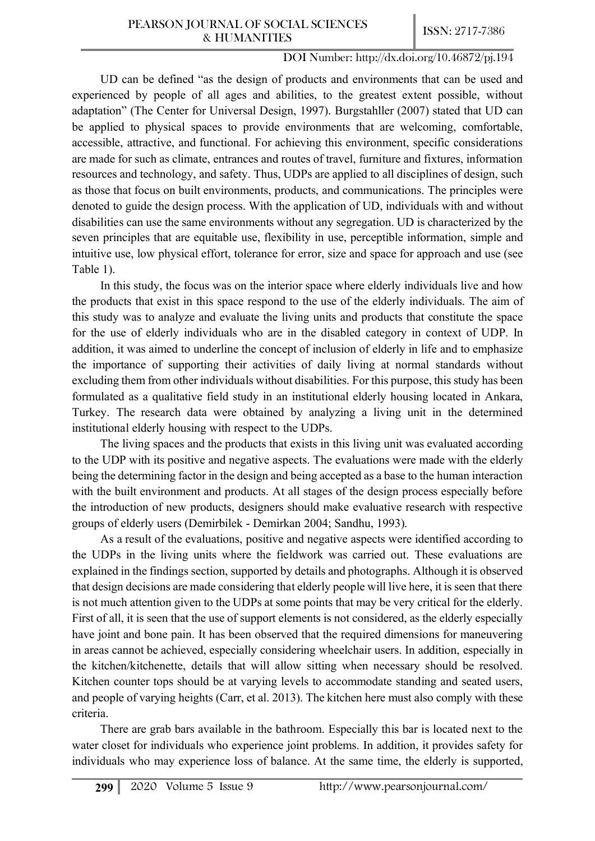UD can be defined "as the design of products and environments that can be used and experienced by people of all ages and abilities, to the greatest extent possible, without adaptation" (The Center for Universal Design, 1997). Burgstahller (2007) stated that UD can be applied to physical spaces to provide environments that are welcoming, comfortable, accessible, attractive, and functional. For achieving this environment, specific considerations are made for such as climate, entrances and routes of travel, furniture and fixtures, information resources and technology, and safety. Thus, UDPs are applied to all disciplines of design, such as those that focus on built environments, products, and communications. The principles were denoted to guide the design process. With the application of UD, individuals with and without disabilities can use the same environments without any segregation. UD is characterized by the seven principles that are equitable use, flexibility in use, perceptible information, simple and intuitive use, low physical effort, tolerance for error, size and space for approach and use (see Table 1).

In this study, the focus was on the interior space where elderly individuals live and how the products that exist in this space respond to the use of the elderly individuals. The aim of this study was to analyze and evaluate the living units and products that constitute the space for the use of elderly individuals who are in the disabled category in context of UDP. In addition, it was aimed to underline the concept of inclusion of elderly in life and to emphasize the importance of supporting their activities of daily living at normal standards without excluding them from other individuals without disabilities. For this purpose, this study has been formulated as a qualitative field study in an institutional elderly housing located in Ankara, Turkey. The research data were obtained by analyzing a living unit in the determined institutional elderly housing with respect to the UDPs.

The living spaces and the products that exists in this living unit was evaluated according to the UDP with its positive and negative aspects. The evaluations were made with the elderly being the determining factor in the design and being accepted as a base to the human interaction with the built environment and products. At all stages of the design process especially before the introduction of new products, designers should make evaluative research with respective groups of elderly users (Demirbilek - Demirkan 2004; Sandhu, 1993).

As a result of the evaluations, positive and negative aspects were identified according to the UDPs in the living units where the fieldwork was carried out. These evaluations are explained in the findings section, supported by details and photographs. Although it is observed that design decisions are made considering that elderly people will live here, it is seen that there is not much attention given to the UDPs at some points that may be very critical for the elderly. First of all, it is seen that the use of support elements is not considered, as the elderly especially have joint and bone pain. It has been observed that the required dimensions for maneuvering in areas cannot be achieved, especially considering wheelchair users. In addition, especially in the kitchen/kitchenette, details that will allow sitting when necessary should be resolved. Kitchen counter tops should be at varying levels to accommodate standing and seated users, and people of varying heights (Carr, et al. 2013). The kitchen here must also comply with these criteria.

There are grab bars available in the bathroom. Especially this bar is located next to the water closet for individuals who experience joint problems. In addition, it provides safety for individuals who may experience loss of balance. At the same time, the elderly is supported,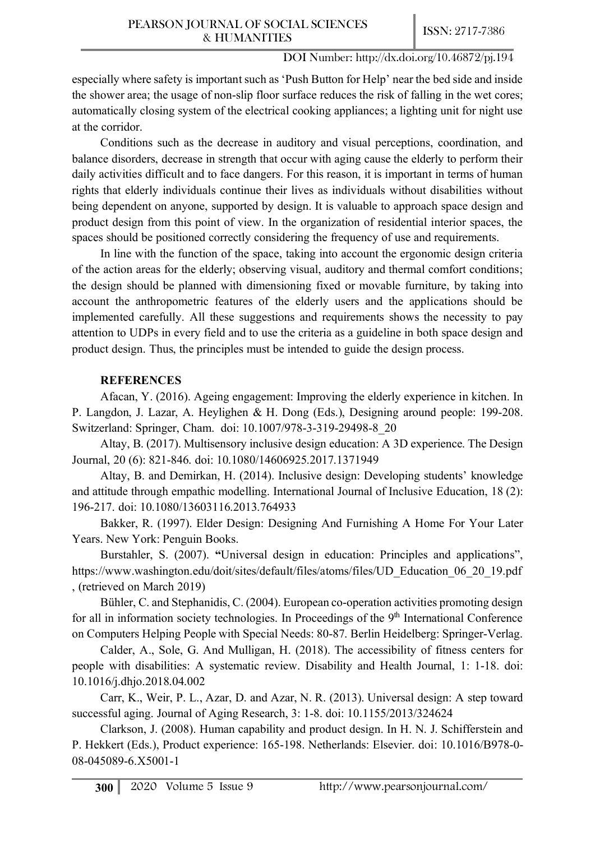especially where safety is important such as 'Push Button for Help' near the bed side and inside the shower area; the usage of non-slip floor surface reduces the risk of falling in the wet cores; automatically closing system of the electrical cooking appliances; a lighting unit for night use at the corridor.

Conditions such as the decrease in auditory and visual perceptions, coordination, and balance disorders, decrease in strength that occur with aging cause the elderly to perform their daily activities difficult and to face dangers. For this reason, it is important in terms of human rights that elderly individuals continue their lives as individuals without disabilities without being dependent on anyone, supported by design. It is valuable to approach space design and product design from this point of view. In the organization of residential interior spaces, the spaces should be positioned correctly considering the frequency of use and requirements.

In line with the function of the space, taking into account the ergonomic design criteria of the action areas for the elderly; observing visual, auditory and thermal comfort conditions; the design should be planned with dimensioning fixed or movable furniture, by taking into account the anthropometric features of the elderly users and the applications should be implemented carefully. All these suggestions and requirements shows the necessity to pay attention to UDPs in every field and to use the criteria as a guideline in both space design and product design. Thus, the principles must be intended to guide the design process.

## **REFERENCES**

Afacan, Y. (2016). Ageing engagement: Improving the elderly experience in kitchen. In P. Langdon, J. Lazar, A. Heylighen & H. Dong (Eds.), Designing around people: 199-208. Switzerland: Springer, Cham. doi: 10.1007/978-3-319-29498-8\_20

Altay, B. (2017). Multisensory inclusive design education: A 3D experience. The Design Journal, 20 (6): 821-846. doi: 10.1080/14606925.2017.1371949

Altay, B. and Demirkan, H. (2014). Inclusive design: Developing students' knowledge and attitude through empathic modelling. International Journal of Inclusive Education, 18 (2): 196-217. doi: 10.1080/13603116.2013.764933

Bakker, R. (1997). Elder Design: Designing And Furnishing A Home For Your Later Years. New York: Penguin Books.

Burstahler, S. (2007). **"**Universal design in education: Principles and applications", https://www.washington.edu/doit/sites/default/files/atoms/files/UD\_Education\_06\_20\_19.pdf , (retrieved on March 2019)

Bühler, C. and Stephanidis, C. (2004). European co-operation activities promoting design for all in information society technologies. In Proceedings of the  $9<sup>th</sup>$  International Conference on Computers Helping People with Special Needs: 80-87. Berlin Heidelberg: Springer-Verlag.

Calder, A., Sole, G. And Mulligan, H. (2018). The accessibility of fitness centers for people with disabilities: A systematic review. Disability and Health Journal, 1: 1-18. doi: 10.1016/j.dhjo.2018.04.002

Carr, K., Weir, P. L., Azar, D. and Azar, N. R. (2013). Universal design: A step toward successful aging. Journal of Aging Research, 3: 1-8. doi: 10.1155/2013/324624

Clarkson, J. (2008). Human capability and product design. In H. N. J. Schifferstein and P. Hekkert (Eds.), Product experience: 165-198. Netherlands: Elsevier. doi: 10.1016/B978-0- 08-045089-6.X5001-1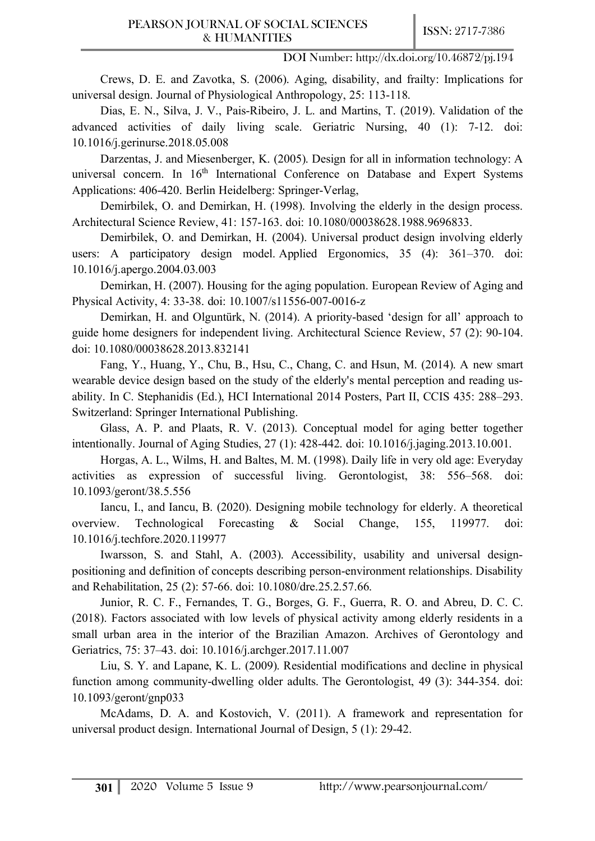Crews, D. E. and Zavotka, S. (2006). Aging, disability, and frailty: Implications for universal design. Journal of Physiological Anthropology, 25: 113-118.

Dias, E. N., Silva, J. V., Pais-Ribeiro, J. L. and Martins, T. (2019). Validation of the advanced activities of daily living scale. Geriatric Nursing, 40 (1): 7-12. doi: 10.1016/j.gerinurse.2018.05.008

Darzentas, J. and Miesenberger, K. (2005). Design for all in information technology: A universal concern. In  $16<sup>th</sup>$  International Conference on Database and Expert Systems Applications: 406-420. Berlin Heidelberg: Springer-Verlag,

Demirbilek, O. and Demirkan, H. (1998). Involving the elderly in the design process. Architectural Science Review, 41: 157-163. doi: 10.1080/00038628.1988.9696833.

Demirbilek, O. and Demirkan, H. (2004). Universal product design involving elderly users: A participatory design model. Applied Ergonomics, 35 (4): 361–370. doi: 10.1016/j.apergo.2004.03.003

Demirkan, H. (2007). Housing for the aging population. European Review of Aging and Physical Activity, 4: 33-38. doi: 10.1007/s11556-007-0016-z

Demirkan, H. and Olguntürk, N. (2014). A priority-based 'design for all' approach to guide home designers for independent living. Architectural Science Review, 57 (2): 90-104. doi: 10.1080/00038628.2013.832141

Fang, Y., Huang, Y., Chu, B., Hsu, C., Chang, C. and Hsun, M. (2014). A new smart wearable device design based on the study of the elderly's mental perception and reading usability. In C. Stephanidis (Ed.), HCI International 2014 Posters, Part II, CCIS 435: 288–293. Switzerland: Springer International Publishing.

Glass, A. P. and Plaats, R. V. (2013). Conceptual model for aging better together intentionally. Journal of Aging Studies, 27 (1): 428-442. doi: 10.1016/j.jaging.2013.10.001.

Horgas, A. L., Wilms, H. and Baltes, M. M. (1998). Daily life in very old age: Everyday activities as expression of successful living. Gerontologist, 38: 556–568. doi: 10.1093/geront/38.5.556

Iancu, I., and Iancu, B. (2020). Designing mobile technology for elderly. A theoretical overview. Technological Forecasting & Social Change, 155, 119977. doi: 10.1016/j.techfore.2020.119977

Iwarsson, S. and Stahl, A. (2003). Accessibility, usability and universal designpositioning and definition of concepts describing person-environment relationships. Disability and Rehabilitation, 25 (2): 57-66. doi: 10.1080/dre.25.2.57.66.

Junior, R. C. F., Fernandes, T. G., Borges, G. F., Guerra, R. O. and Abreu, D. C. C. (2018). Factors associated with low levels of physical activity among elderly residents in a small urban area in the interior of the Brazilian Amazon. Archives of Gerontology and Geriatrics, 75: 37–43. doi: 10.1016/j.archger.2017.11.007

Liu, S. Y. and Lapane, K. L. (2009). Residential modifications and decline in physical function among community-dwelling older adults. The Gerontologist, 49 (3): 344-354. doi: 10.1093/geront/gnp033

McAdams, D. A. and Kostovich, V. (2011). A framework and representation for universal product design. International Journal of Design, 5 (1): 29-42.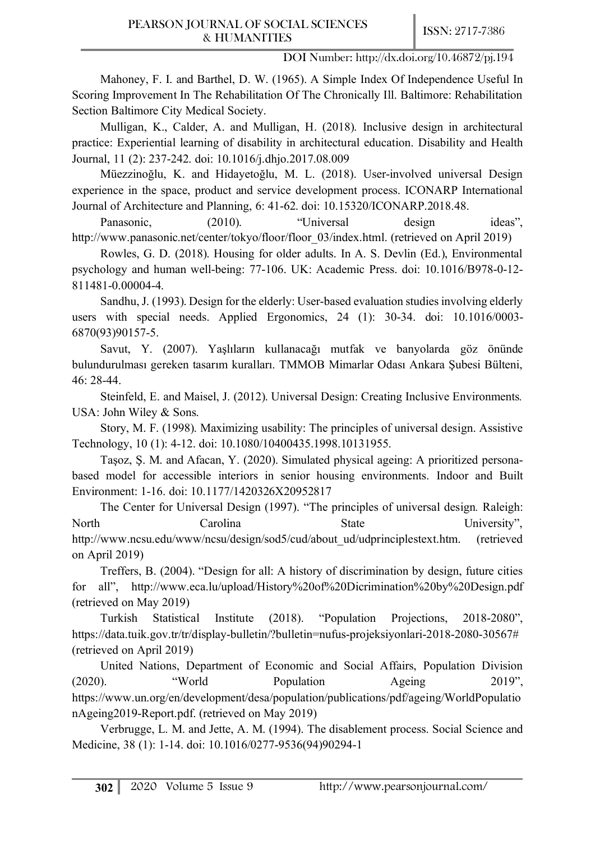Mahoney, F. I. and Barthel, D. W. (1965). A Simple Index Of Independence Useful In Scoring Improvement In The Rehabilitation Of The Chronically Ill. Baltimore: Rehabilitation Section Baltimore City Medical Society.

Mulligan, K., Calder, A. and Mulligan, H. (2018). Inclusive design in architectural practice: Experiential learning of disability in architectural education. Disability and Health Journal, 11 (2): 237-242. doi: 10.1016/j.dhjo.2017.08.009

Müezzinoğlu, K. and Hidayetoğlu, M. L. (2018). User-involved universal Design experience in the space, product and service development process. ICONARP International Journal of Architecture and Planning, 6: 41-62. doi: 10.15320/ICONARP.2018.48.

Panasonic, (2010). "Universal design ideas", http://www.panasonic.net/center/tokyo/floor/floor 03/index.html. (retrieved on April 2019)

Rowles, G. D. (2018). Housing for older adults. In A. S. Devlin (Ed.), Environmental psychology and human well-being: 77-106. UK: Academic Press. doi: 10.1016/B978-0-12- 811481-0.00004-4.

Sandhu, J. (1993). Design for the elderly: User-based evaluation studies involving elderly users with special needs. Applied Ergonomics, 24 (1): 30-34. doi: 10.1016/0003- 6870(93)90157-5.

Savut, Y. (2007). Yaşlıların kullanacağı mutfak ve banyolarda göz önünde bulundurulması gereken tasarım kuralları. TMMOB Mimarlar Odası Ankara Şubesi Bülteni, 46: 28-44.

Steinfeld, E. and Maisel, J. (2012). Universal Design: Creating Inclusive Environments*.* USA: John Wiley & Sons.

Story, M. F. (1998). Maximizing usability: The principles of universal design. Assistive Technology, 10 (1): 4-12. doi: 10.1080/10400435.1998.10131955.

Taşoz, Ş. M. and Afacan, Y. (2020). Simulated physical ageing: A prioritized personabased model for accessible interiors in senior housing environments. Indoor and Built Environment: 1-16. doi: 10.1177/1420326X20952817

The Center for Universal Design (1997). "The principles of universal design*.* Raleigh: North Carolina State University", http://www.ncsu.edu/www/ncsu/design/sod5/cud/about\_ud/udprinciplestext.htm. (retrieved on April 2019)

Treffers, B. (2004). "Design for all: A history of discrimination by design, future cities for all", http://www.eca.lu/upload/History%20of%20Dicrimination%20by%20Design.pdf (retrieved on May 2019)

Turkish Statistical Institute (2018). "Population Projections, 2018-2080", https://data.tuik.gov.tr/tr/display-bulletin/?bulletin=nufus-projeksiyonlari-2018-2080-30567# (retrieved on April 2019)

United Nations, Department of Economic and Social Affairs, Population Division (2020). "World Population Ageing 2019", https://www.un.org/en/development/desa/population/publications/pdf/ageing/WorldPopulatio nAgeing2019-Report.pdf. (retrieved on May 2019)

Verbrugge, L. M. and Jette, A. M. (1994). The disablement process. Social Science and Medicine, 38 (1): 1-14. doi: 10.1016/0277-9536(94)90294-1